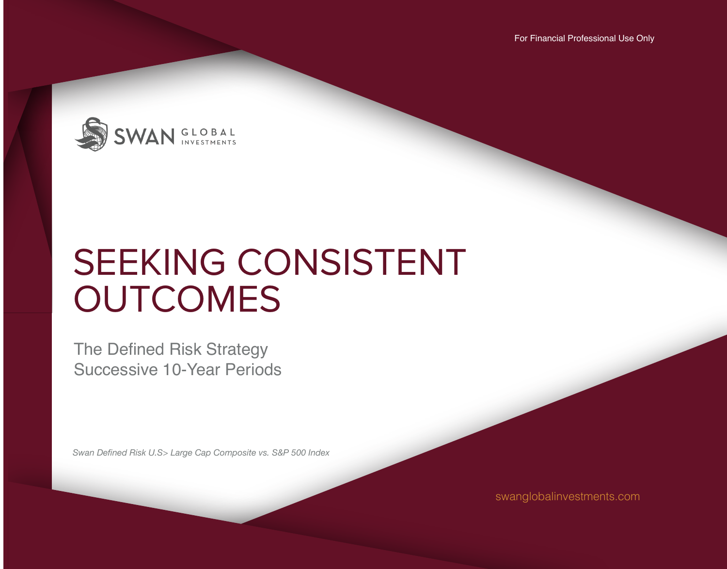For Financial Professional Use Only



# SEEKING CONSISTENT **OUTCOMES**

The Defined Risk Strategy Successive 10-Year Periods

*Swan Defined Risk U.S> Large Cap Composite vs. S&P 500 Index* 

swanglobalinvestments.com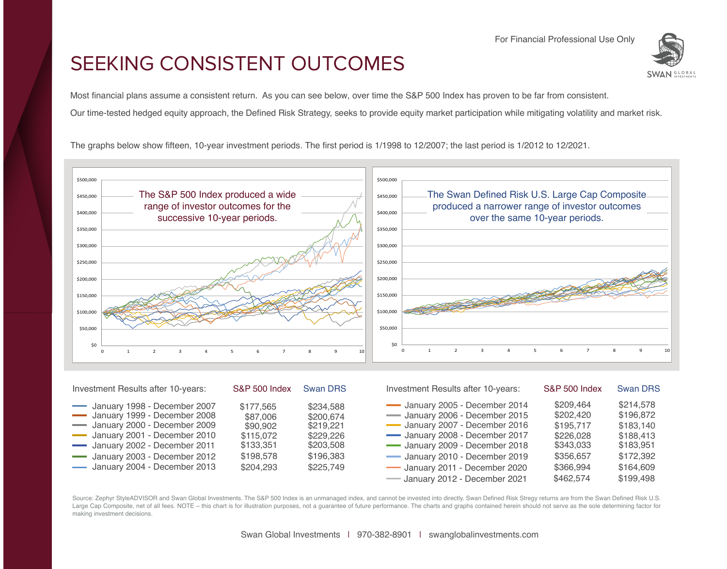For Financial Professional Use Only

## SEEKING CONSISTENT OUTCOMES

**GLOBAL** 

Most financial plans assume a consistent return. As you can see below, over time the S&P 500 Index has proven to be far from consistent.

Our time-tested hedged equity approach, the Defined Risk Strategy, seeks to provide equity market participation while mitigating volatility and market risk.

The graphs below show fifteen, 10-year investment periods. The first period is 1/1998 to 12/2007; the last period is 1/2012 to 12/2021.



| Investment Results after 10-years:                                                                                                                           | S&P 500 Index Swan DRS                                      |                                                               | Investment Results after 10-years:                                                                                                                             | <b>S&amp;P 500 Index</b>                                      | <b>Swan DRS</b>                                               |  |
|--------------------------------------------------------------------------------------------------------------------------------------------------------------|-------------------------------------------------------------|---------------------------------------------------------------|----------------------------------------------------------------------------------------------------------------------------------------------------------------|---------------------------------------------------------------|---------------------------------------------------------------|--|
| January 1998 - December 2007<br>January 1999 - December 2008<br>January 2000 - December 2009<br>January 2001 - December 2010<br>January 2002 - December 2011 | \$177.565<br>\$87,006<br>\$90,902<br>\$115,072<br>\$133,351 | \$234,588<br>\$200,674<br>\$219,221<br>\$229,226<br>\$203,508 | January 2005 - December 2014<br>- January 2006 - December 2015<br>January 2007 - December 2016<br>January 2008 - December 2017<br>January 2009 - December 2018 | \$209.464<br>\$202.420<br>\$195,717<br>\$226,028<br>\$343,033 | \$214,578<br>\$196,872<br>\$183,140<br>\$188,413<br>\$183,951 |  |
| January 2003 - December 2012<br>January 2004 - December 2013                                                                                                 | \$198,578<br>\$204,293                                      | \$196,383<br>\$225,749                                        | January 2010 - December 2019<br>January 2011 - December 2020<br>- January 2012 - December 2021                                                                 | \$356,657<br>\$366,994<br>\$462,574                           | \$172,392<br>\$164,609<br>\$199,498                           |  |

Source: Zephyr StyleADVISOR and Swan Global Investments. The S&P 500 Index is an unmanaged index, and cannot be invested into directly. Swan Defined Risk Stregy returns are from the Swan Defined Risk U.S. Large Cap Composite, net of all fees. NOTE – this chart is for illustration purposes, not a guarantee of future performance. The charts and graphs contained herein should not serve as the sole determining factor for making investment decisions.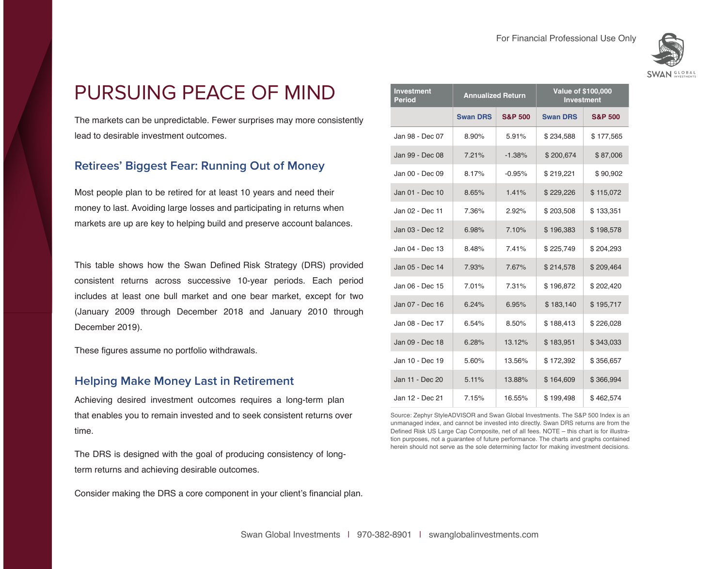

## PURSUING PEACE OF MIND

The markets can be unpredictable. Fewer surprises may more consistently lead to desirable investment outcomes.

### **Retirees' Biggest Fear: Running Out of Money**

Most people plan to be retired for at least 10 years and need their money to last. Avoiding large losses and participating in returns when markets are up are key to helping build and preserve account balances.

This table shows how the Swan Defined Risk Strategy (DRS) provided consistent returns across successive 10-year periods. Each period includes at least one bull market and one bear market, except for two (January 2009 through December 2018 and January 2010 through December 2019).

These figures assume no portfolio withdrawals.

#### **Helping Make Money Last in Retirement**

Achieving desired investment outcomes requires a long-term plan that enables you to remain invested and to seek consistent returns over time.

The DRS is designed with the goal of producing consistency of longterm returns and achieving desirable outcomes.

Consider making the DRS a core component in your client's financial plan.

| <b>Investment</b><br><b>Period</b> | <b>Annualized Return</b> |                    | <b>Value of \$100,000</b><br><b>Investment</b> |                    |  |  |
|------------------------------------|--------------------------|--------------------|------------------------------------------------|--------------------|--|--|
|                                    | <b>Swan DRS</b>          | <b>S&amp;P 500</b> | <b>Swan DRS</b>                                | <b>S&amp;P 500</b> |  |  |
| Jan 98 - Dec 07                    | 8.90%                    | 5.91%              | \$234,588                                      | \$177,565          |  |  |
| Jan 99 - Dec 08                    | 7.21%                    | $-1.38%$           | \$200,674                                      | \$87,006           |  |  |
| Jan 00 - Dec 09                    | 8.17%                    | $-0.95%$           | \$219,221                                      | \$90,902           |  |  |
| Jan 01 - Dec 10                    | 8.65%                    | 1.41%              | \$229,226                                      | \$115,072          |  |  |
| Jan 02 - Dec 11                    | 7.36%                    | 2.92%              | \$203,508                                      | \$133,351          |  |  |
| Jan 03 - Dec 12                    | 6.98%                    | 7.10%              | \$196,383                                      | \$198,578          |  |  |
| Jan 04 - Dec 13                    | 8.48%                    | 7.41%              | \$225,749                                      | \$204,293          |  |  |
| Jan 05 - Dec 14                    | 7.93%                    | 7.67%              | \$214,578                                      | \$209,464          |  |  |
| Jan 06 - Dec 15                    | 7.01%                    | 7.31%              | \$196,872                                      | \$202,420          |  |  |
| Jan 07 - Dec 16                    | 6.24%                    | 6.95%              | \$183,140                                      | \$195,717          |  |  |
| Jan 08 - Dec 17                    | 6.54%                    | 8.50%              | \$188,413                                      | \$226,028          |  |  |
| Jan 09 - Dec 18                    | 6.28%                    | 13.12%             | \$183,951                                      | \$343,033          |  |  |
| Jan 10 - Dec 19                    | 5.60%                    | 13.56%             | \$172,392                                      | \$356,657          |  |  |
| Jan 11 - Dec 20                    | 5.11%                    | 13.88%             | \$164,609                                      | \$366,994          |  |  |
| Jan 12 - Dec 21                    | 7.15%                    | 16.55%             | \$199,498                                      | \$462,574          |  |  |

Source: Zephyr StyleADVISOR and Swan Global Investments. The S&P 500 Index is an unmanaged index, and cannot be invested into directly. Swan DRS returns are from the Defined Risk US Large Cap Composite, net of all fees. NOTE – this chart is for illustration purposes, not a guarantee of future performance. The charts and graphs contained herein should not serve as the sole determining factor for making investment decisions.